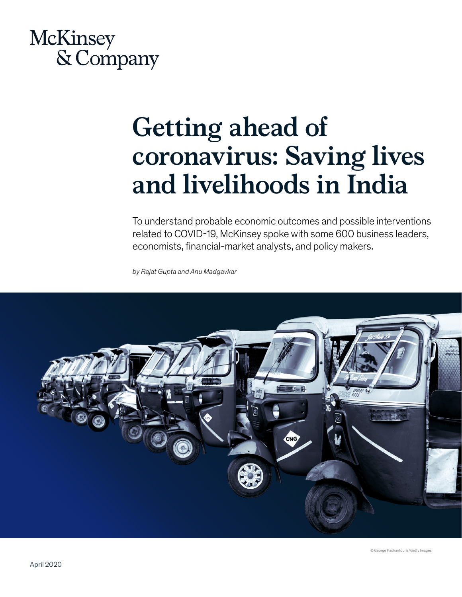

# **Getting ahead of coronavirus: Saving lives and livelihoods in India**

To understand probable economic outcomes and possible interventions related to COVID-19, McKinsey spoke with some 600 business leaders, economists, financial-market analysts, and policy makers.

*by Rajat Gupta and Anu Madgavkar*

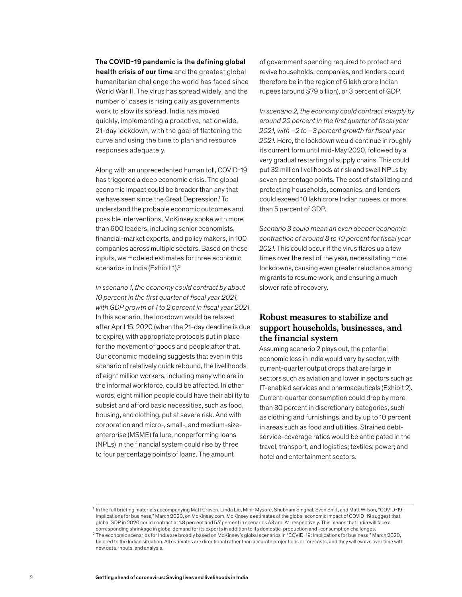The COVID-19 pandemic is the defining global health crisis of our time and the greatest global humanitarian challenge the world has faced since World War II. The virus has spread widely, and the number of cases is rising daily as governments work to slow its spread. India has moved quickly, implementing a proactive, nationwide, 21-day lockdown, with the goal of flattening the curve and using the time to plan and resource responses adequately.

Along with an unprecedented human toll, COVID-19 has triggered a deep economic crisis. The global economic impact could be broader than any that we have seen since the Great Depression.<sup>1</sup> To understand the probable economic outcomes and possible interventions, McKinsey spoke with more than 600 leaders, including senior economists, financial-market experts, and policy makers, in 100 companies across multiple sectors. Based on these inputs, we modeled estimates for three economic scenarios in India (Exhibit 1).<sup>2</sup>

*In scenario 1, the economy could contract by about 10 percent in the first quarter of fiscal year 2021, with GDP growth of 1 to 2 percent in fiscal year 2021.*  In this scenario, the lockdown would be relaxed after April 15, 2020 (when the 21-day deadline is due to expire), with appropriate protocols put in place for the movement of goods and people after that. Our economic modeling suggests that even in this scenario of relatively quick rebound, the livelihoods of eight million workers, including many who are in the informal workforce, could be affected. In other words, eight million people could have their ability to subsist and afford basic necessities, such as food, housing, and clothing, put at severe risk. And with corporation and micro-, small-, and medium-sizeenterprise (MSME) failure, nonperforming loans (NPLs) in the financial system could rise by three to four percentage points of loans. The amount

of government spending required to protect and revive households, companies, and lenders could therefore be in the region of 6 lakh crore Indian rupees (around \$79 billion), or 3 percent of GDP.

*In scenario 2, the economy could contract sharply by around 20 percent in the first quarter of fiscal year 2021, with –2 to –3 percent growth for fiscal year 2021.* Here, the lockdown would continue in roughly its current form until mid-May 2020, followed by a very gradual restarting of supply chains. This could put 32 million livelihoods at risk and swell NPLs by seven percentage points. The cost of stabilizing and protecting households, companies, and lenders could exceed 10 lakh crore Indian rupees, or more than 5 percent of GDP.

*Scenario 3 could mean an even deeper economic contraction of around 8 to 10 percent for fiscal year 2021.* This could occur if the virus flares up a few times over the rest of the year, necessitating more lockdowns, causing even greater reluctance among migrants to resume work, and ensuring a much slower rate of recovery.

## **Robust measures to stabilize and support households, businesses, and the financial system**

Assuming scenario 2 plays out, the potential economic loss in India would vary by sector, with current-quarter output drops that are large in sectors such as aviation and lower in sectors such as IT-enabled services and pharmaceuticals (Exhibit 2). Current-quarter consumption could drop by more than 30 percent in discretionary categories, such as clothing and furnishings, and by up to 10 percent in areas such as food and utilities. Strained debtservice-coverage ratios would be anticipated in the travel, transport, and logistics; textiles; power; and hotel and entertainment sectors.

<sup>&</sup>lt;sup>1</sup> In the full briefing materials accompanying Matt Craven, Linda Liu, Mihir Mysore, Shubham Singhal, Sven Smit, and Matt Wilson, "COVID-19: Implications for business," March 2020, on McKinsey.com, McKinsey's estimates of the global economic impact of COVID-19 suggest that global GDP in 2020 could contract at 1.8 percent and 5.7 percent in scenarios A3 and A1, respectively. This means that India will face a corresponding shrinkage in global demand for its exports in addition to its domestic-production and -consumption challenges.

<sup>2</sup> The economic scenarios for India are broadly based on McKinsey's global scenarios in "COVID-19: Implications for business," March 2020, tailored to the Indian situation. All estimates are directional rather than accurate projections or forecasts, and they will evolve over time with new data, inputs, and analysis.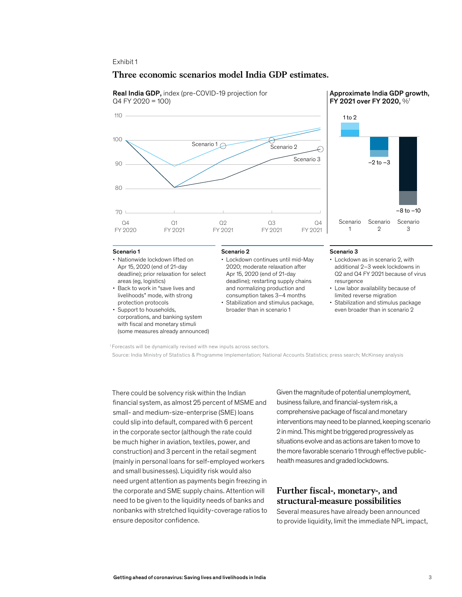### Exhibit 1

## **Three economic scenarios model India GDP estimates.**





- Nationwide lockdown lifted on Apr 15, 2020 (end of 21-day deadline); prior relaxation for select areas (eg, logistics)
- Back to work in "save lives and livelihoods" mode, with strong protection protocols
- Support to households, corporations, and banking system with fiscal and monetary stimuli (some measures already announced)
- Lockdown continues until mid-May 2020; moderate relaxation after Apr 15, 2020 (end of 21-day deadline); restarting supply chains
- and normalizing production and consumption takes 3–4 months • Stabilization and stimulus package, broader than in scenario 1

#### Scenario 1 **Scenario 2** Scenario 2 and Scenario 3 and Scenario 3 and Scenario 3 and Scenario 3 and Scenario 3 and Scenario 3 and Scenario 3 and Scenario 3 and Scenario 3 and Scenario 3 and Scenario 3 and Scenario 3 and Sce

- Lockdown as in scenario 2, with additional 2–3 week lockdowns in Q2 and Q4 FY 2021 because of virus resurgence
- Low labor availability because of limited reverse migration
- Stabilization and stimulus package even broader than in scenario 2

1 Forecasts will be dynamically revised with new inputs across sectors.

Source: India Ministry of Statistics & Programme Implementation; National Accounts Statistics; press search; McKinsey analysis

There could be solvency risk within the Indian financial system, as almost 25 percent of MSME and small- and medium-size-enterprise (SME) loans could slip into default, compared with 6 percent in the corporate sector (although the rate could be much higher in aviation, textiles, power, and construction) and 3 percent in the retail segment (mainly in personal loans for self-employed workers and small businesses). Liquidity risk would also need urgent attention as payments begin freezing in the corporate and SME supply chains. Attention will need to be given to the liquidity needs of banks and nonbanks with stretched liquidity-coverage ratios to ensure depositor confidence.

Given the magnitude of potential unemployment, business failure, and financial-system risk, a comprehensive package of fiscal and monetary interventions may need to be planned, keeping scenario 2 in mind. This might be triggered progressively as situations evolve and as actions are taken to move to the more favorable scenario 1 through effective publichealth measures and graded lockdowns.

## **Further fiscal-, monetary-, and structural-measure possibilities**

Several measures have already been announced to provide liquidity, limit the immediate NPL impact,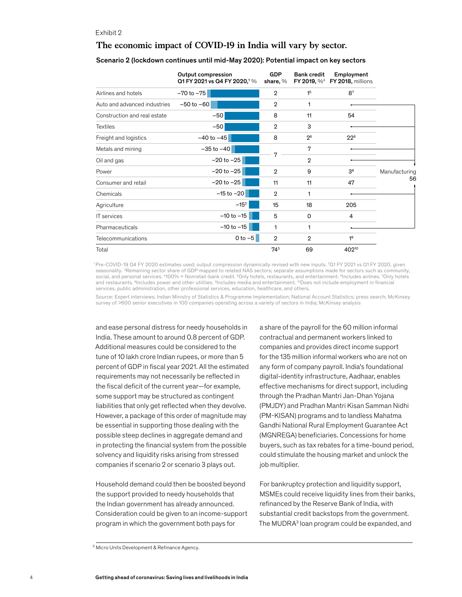#### Exhibit 2

## **The economic impact of COVID-19 in India will vary by sector.**

Scenario 2 (lockdown continues until mid-May 2020): Potential impact on key sectors

|                              | Output compression<br>Q1 FY 2021 vs Q4 FY 2020, <sup>1</sup> % | <b>GDP</b><br>share, % | <b>Bank credit</b> | Employment<br>FY 2019, % <sup>4</sup> FY 2018, millions |                     |
|------------------------------|----------------------------------------------------------------|------------------------|--------------------|---------------------------------------------------------|---------------------|
| Airlines and hotels          | $-70$ to $-75$                                                 | $\overline{2}$         | 1 <sup>5</sup>     | 8 <sup>7</sup>                                          |                     |
| Auto and advanced industries | $-50$ to $-60$                                                 | $\overline{2}$         | 1                  |                                                         |                     |
| Construction and real estate | $-50$                                                          | 8                      | 11                 | 54                                                      |                     |
| <b>Textiles</b>              | $-50$                                                          | $\overline{2}$         | 3                  |                                                         |                     |
| Freight and logistics        | $-40$ to $-45$                                                 | 8                      | 2 <sup>6</sup>     | $22^{6}$                                                | Manufacturing<br>56 |
| Metals and mining            | $-35$ to $-40$                                                 |                        | 7                  |                                                         |                     |
| Oil and gas                  | $-20$ to $-25$                                                 | 7                      | $\mathbf{2}$       |                                                         |                     |
| Power                        | $-20$ to $-25$                                                 | $\overline{2}$         | 9                  | 3 <sup>8</sup>                                          |                     |
| Consumer and retail          | $-20$ to $-25$                                                 | 11                     | 11                 | 47                                                      |                     |
| Chemicals                    | $-15$ to $-20$                                                 | $\overline{2}$         | 1                  |                                                         |                     |
| Agriculture                  | $-15^{2}$                                                      | 15                     | 18                 | 205                                                     |                     |
| IT services                  | $-10$ to $-15$                                                 | 5                      | 0                  | 4                                                       |                     |
| Pharmaceuticals              | $-10$ to $-15$                                                 | 1                      | 1                  |                                                         |                     |
| Telecommunications           | $0$ to $-5$                                                    | $\mathbf{2}$           | $\overline{2}$     | 1 <sup>9</sup>                                          |                     |
| Total                        |                                                                | $74^3$                 | 69                 | 40210                                                   |                     |

1 Pre-COVID-19 Q4 FY 2020 estimates used; output compression dynamically revised with new inputs. 2 Q1 FY 2021 vs Q1 FY 2020, given seasonality. <sup>3</sup>Remaining sector share of GDP mapped to related NAS sectors; separate assumptions made for sectors such as community, social, and personal services. <sup>4</sup>100% = Nonretail-bank credit. <sup>5</sup>Only hotels, restaurants, and entertainment. <sup>6</sup>Includes airlines. <sup>7</sup>Only hotels and restaurants. <sup>8</sup>Includes power and other utilities. <sup>9</sup>Includes media and entertainment. <sup>10</sup>Does not include employment in financial services, public administration, other professional services, education, healthcare, and others.

Source: Expert interviews; Indian Ministry of Statistics & Programme Implementation; National Account Statistics; press search; McKinsey survey of >600 senior executives in 100 companies operating across a variety of sectors in India; McKinsey analysis

and ease personal distress for needy households in India. These amount to around 0.8 percent of GDP. Additional measures could be considered to the tune of 10 lakh crore Indian rupees, or more than 5 percent of GDP in fiscal year 2021. All the estimated requirements may not necessarily be reflected in the fiscal deficit of the current year—for example, some support may be structured as contingent liabilities that only get reflected when they devolve. However, a package of this order of magnitude may be essential in supporting those dealing with the possible steep declines in aggregate demand and in protecting the financial system from the possible solvency and liquidity risks arising from stressed companies if scenario 2 or scenario 3 plays out.

Household demand could then be boosted beyond the support provided to needy households that the Indian government has already announced. Consideration could be given to an income-support program in which the government both pays for

a share of the payroll for the 60 million informal contractual and permanent workers linked to companies and provides direct income support for the 135 million informal workers who are not on any form of company payroll. India's foundational digital-identity infrastructure, Aadhaar, enables effective mechanisms for direct support, including through the Pradhan Mantri Jan-Dhan Yojana (PMJDY) and Pradhan Mantri Kisan Samman Nidhi (PM-KISAN) programs and to landless Mahatma Gandhi National Rural Employment Guarantee Act (MGNREGA) beneficiaries. Concessions for home buyers, such as tax rebates for a time-bound period, could stimulate the housing market and unlock the job multiplier.

For bankruptcy protection and liquidity support, MSMEs could receive liquidity lines from their banks, refinanced by the Reserve Bank of India, with substantial credit backstops from the government. The MUDRA<sup>3</sup> loan program could be expanded, and

<sup>&</sup>lt;sup>3</sup> Micro Units Development & Refinance Agency.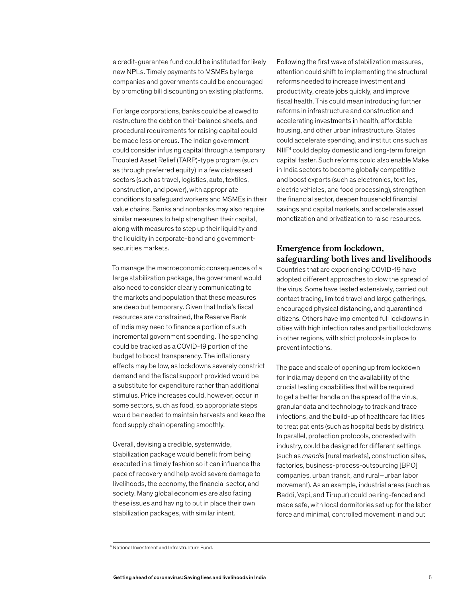a credit-guarantee fund could be instituted for likely new NPLs. Timely payments to MSMEs by large companies and governments could be encouraged by promoting bill discounting on existing platforms.

For large corporations, banks could be allowed to restructure the debt on their balance sheets, and procedural requirements for raising capital could be made less onerous. The Indian government could consider infusing capital through a temporary Troubled Asset Relief (TARP)-type program (such as through preferred equity) in a few distressed sectors (such as travel, logistics, auto, textiles, construction, and power), with appropriate conditions to safeguard workers and MSMEs in their value chains. Banks and nonbanks may also require similar measures to help strengthen their capital, along with measures to step up their liquidity and the liquidity in corporate-bond and governmentsecurities markets.

To manage the macroeconomic consequences of a large stabilization package, the government would also need to consider clearly communicating to the markets and population that these measures are deep but temporary. Given that India's fiscal resources are constrained, the Reserve Bank of India may need to finance a portion of such incremental government spending. The spending could be tracked as a COVID-19 portion of the budget to boost transparency. The inflationary effects may be low, as lockdowns severely constrict demand and the fiscal support provided would be a substitute for expenditure rather than additional stimulus. Price increases could, however, occur in some sectors, such as food, so appropriate steps would be needed to maintain harvests and keep the food supply chain operating smoothly.

Overall, devising a credible, systemwide, stabilization package would benefit from being executed in a timely fashion so it can influence the pace of recovery and help avoid severe damage to livelihoods, the economy, the financial sector, and society. Many global economies are also facing these issues and having to put in place their own stabilization packages, with similar intent.

Following the first wave of stabilization measures, attention could shift to implementing the structural reforms needed to increase investment and productivity, create jobs quickly, and improve fiscal health. This could mean introducing further reforms in infrastructure and construction and accelerating investments in health, affordable housing, and other urban infrastructure. States could accelerate spending, and institutions such as NIIF4 could deploy domestic and long-term foreign capital faster. Such reforms could also enable Make in India sectors to become globally competitive and boost exports (such as electronics, textiles, electric vehicles, and food processing), strengthen the financial sector, deepen household financial savings and capital markets, and accelerate asset monetization and privatization to raise resources.

## **Emergence from lockdown, safeguarding both lives and livelihoods**

Countries that are experiencing COVID-19 have adopted different approaches to slow the spread of the virus. Some have tested extensively, carried out contact tracing, limited travel and large gatherings, encouraged physical distancing, and quarantined citizens. Others have implemented full lockdowns in cities with high infection rates and partial lockdowns in other regions, with strict protocols in place to prevent infections.

The pace and scale of opening up from lockdown for India may depend on the availability of the crucial testing capabilities that will be required to get a better handle on the spread of the virus, granular data and technology to track and trace infections, and the build-up of healthcare facilities to treat patients (such as hospital beds by district). In parallel, protection protocols, cocreated with industry, could be designed for different settings (such as *mandis* [rural markets], construction sites, factories, business-process-outsourcing [BPO] companies, urban transit, and rural–urban labor movement). As an example, industrial areas (such as Baddi, Vapi, and Tirupur) could be ring-fenced and made safe, with local dormitories set up for the labor force and minimal, controlled movement in and out

<sup>4</sup> National Investment and Infrastructure Fund.